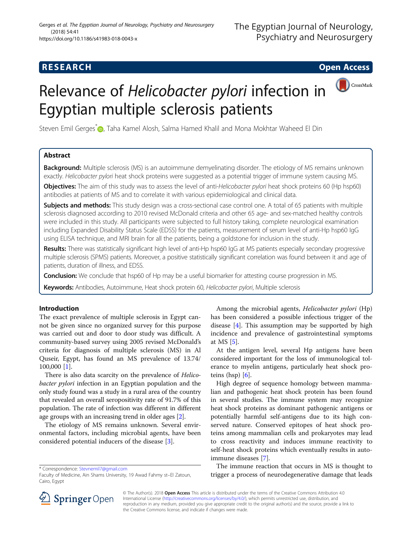## **RESEARCH CHE Open Access**

CrossMark

# Relevance of Helicobacter pylori infection in Egyptian multiple sclerosis patients

Steven Emil Gerges\* **(@)**[,](http://orcid.org/0000-0002-1400-2205) Taha Kamel Alosh, Salma Hamed Khalil and Mona Mokhtar Waheed El Din

## Abstract

**Background:** Multiple sclerosis (MS) is an autoimmune demyelinating disorder. The etiology of MS remains unknown exactly. Helicobacter pylori heat shock proteins were suggested as a potential trigger of immune system causing MS.

Objectives: The aim of this study was to assess the level of anti-Helicobacter pylori heat shock proteins 60 (Hp hsp60) antibodies at patients of MS and to correlate it with various epidemiological and clinical data.

**Subjects and methods:** This study design was a cross-sectional case control one. A total of 65 patients with multiple sclerosis diagnosed according to 2010 revised McDonald criteria and other 65 age- and sex-matched healthy controls were included in this study. All participants were subjected to full history taking, complete neurological examination including Expanded Disability Status Scale (EDSS) for the patients, measurement of serum level of anti-Hp hsp60 IgG using ELISA technique, and MRI brain for all the patients, being a goldstone for inclusion in the study.

Results: There was statistically significant high level of anti-Hp hsp60 IgG at MS patients especially secondary progressive multiple sclerosis (SPMS) patients. Moreover, a positive statistically significant correlation was found between it and age of patients, duration of illness, and EDSS.

Conclusion: We conclude that hsp60 of Hp may be a useful biomarker for attesting course progression in MS.

Keywords: Antibodies, Autoimmune, Heat shock protein 60, Helicobacter pylori, Multiple sclerosis

### Introduction

The exact prevalence of multiple sclerosis in Egypt cannot be given since no organized survey for this purpose was carried out and door to door study was difficult. A community-based survey using 2005 revised McDonald's criteria for diagnosis of multiple sclerosis (MS) in Al Quseir, Egypt, has found an MS prevalence of 13.74/ 100,000 [\[1](#page-5-0)].

There is also data scarcity on the prevalence of Helicobacter pylori infection in an Egyptian population and the only study found was a study in a rural area of the country that revealed an overall seropositivity rate of 91.7% of this population. The rate of infection was different in different age groups with an increasing trend in older ages [\[2](#page-5-0)].

The etiology of MS remains unknown. Several environmental factors, including microbial agents, have been considered potential inducers of the disease [[3\]](#page-5-0).

Among the microbial agents, Helicobacter pylori (Hp) has been considered a possible infectious trigger of the disease [\[4](#page-5-0)]. This assumption may be supported by high incidence and prevalence of gastrointestinal symptoms at MS [\[5](#page-5-0)].

At the antigen level, several Hp antigens have been considered important for the loss of immunological tolerance to myelin antigens, particularly heat shock proteins (hsp)  $[6]$  $[6]$ .

High degree of sequence homology between mammalian and pathogenic heat shock protein has been found in several studies. The immune system may recognize heat shock proteins as dominant pathogenic antigens or potentially harmful self-antigens due to its high conserved nature. Conserved epitopes of heat shock proteins among mammalian cells and prokaryotes may lead to cross reactivity and induces immune reactivity to self-heat shock proteins which eventually results in autoimmune diseases [\[7](#page-5-0)].

The immune reaction that occurs in MS is thought to trigger a process of neurodegenerative damage that leads



© The Author(s). 2018 Open Access This article is distributed under the terms of the Creative Commons Attribution 4.0 International License ([http://creativecommons.org/licenses/by/4.0/\)](http://creativecommons.org/licenses/by/4.0/), which permits unrestricted use, distribution, and reproduction in any medium, provided you give appropriate credit to the original author(s) and the source, provide a link to the Creative Commons license, and indicate if changes were made.

<sup>\*</sup> Correspondence: [Stevnemil7@gmail.com](mailto:Stevnemil7@gmail.com)

Faculty of Medicine, Ain Shams University, 19 Awad Fahmy st–El Zatoun, Cairo, Egypt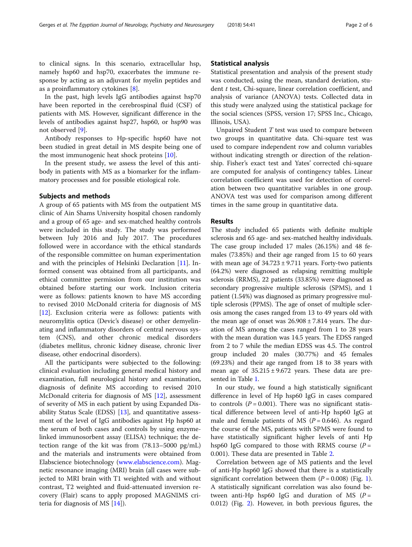to clinical signs. In this scenario, extracellular hsp, namely hsp60 and hsp70, exacerbates the immune response by acting as an adjuvant for myelin peptides and as a proinflammatory cytokines [\[8](#page-5-0)].

In the past, high levels IgG antibodies against hsp70 have been reported in the cerebrospinal fluid (CSF) of patients with MS. However, significant difference in the levels of antibodies against hsp27, hsp60, or hsp90 was not observed [[9\]](#page-5-0).

Antibody responses to Hp-specific hsp60 have not been studied in great detail in MS despite being one of the most immunogenic heat shock proteins [\[10\]](#page-5-0).

In the present study, we assess the level of this antibody in patients with MS as a biomarker for the inflammatory processes and for possible etiological role.

#### Subjects and methods

A group of 65 patients with MS from the outpatient MS clinic of Ain Shams University hospital chosen randomly and a group of 65 age- and sex-matched healthy controls were included in this study. The study was performed between July 2016 and July 2017. The procedures followed were in accordance with the ethical standards of the responsible committee on human experimentation and with the principles of Helsinki Declaration [[11](#page-5-0)]. Informed consent was obtained from all participants, and ethical committee permission from our institution was obtained before starting our work. Inclusion criteria were as follows: patients known to have MS according to revised 2010 McDonald criteria for diagnosis of MS [[12\]](#page-5-0). Exclusion criteria were as follows: patients with neuromylitis optica (Devic's disease) or other demyelinating and inflammatory disorders of central nervous system (CNS), and other chronic medical disorders (diabetes mellitus, chronic kidney disease, chronic liver disease, other endocrinal disorders).

All the participants were subjected to the following: clinical evaluation including general medical history and examination, full neurological history and examination, diagnosis of definite MS according to revised 2010 McDonald criteria for diagnosis of MS [\[12](#page-5-0)], assessment of severity of MS in each patient by using Expanded Disability Status Scale (EDSS) [[13](#page-5-0)], and quantitative assessment of the level of IgG antibodies against Hp hsp60 at the serum of both cases and controls by using enzymelinked immunosorbent assay (ELISA) technique; the detection range of the kit was from (78.13–5000 pg/mL) and the materials and instruments were obtained from Elabscience biotechnology [\(www.elabscience.com\)](http://www.elabscience.com). Magnetic resonance imaging (MRI) brain (all cases were subjected to MRI brain with T1 weighted with and without contrast, T2 weighted and fluid-attenuated inversion recovery (Flair) scans to apply proposed MAGNIMS criteria for diagnosis of MS [\[14\]](#page-5-0)).

#### Statistical analysis

Statistical presentation and analysis of the present study was conducted, using the mean, standard deviation, student t test, Chi-square, linear correlation coefficient, and analysis of variance (ANOVA) tests. Collected data in this study were analyzed using the statistical package for the social sciences (SPSS, version 17; SPSS Inc., Chicago, Illinois, USA).

Unpaired Student  $T$  test was used to compare between two groups in quantitative data. Chi-square test was used to compare independent row and column variables without indicating strength or direction of the relationship. Fisher's exact test and Yates' corrected chi-square are computed for analysis of contingency tables. Linear correlation coefficient was used for detection of correlation between two quantitative variables in one group. ANOVA test was used for comparison among different times in the same group in quantitative data.

#### Results

The study included 65 patients with definite multiple sclerosis and 65 age- and sex-matched healthy individuals. The case group included 17 males (26.15%) and 48 females (73.85%) and their age ranged from 15 to 60 years with mean age of  $34.723 \pm 9.711$  years. Forty-two patients (64.2%) were diagnosed as relapsing remitting multiple sclerosis (RRMS), 22 patients (33.85%) were diagnosed as secondary progressive multiple sclerosis (SPMS), and 1 patient (1.54%) was diagnosed as primary progressive multiple sclerosis (PPMS). The age of onset of multiple sclerosis among the cases ranged from 13 to 49 years old with the mean age of onset was  $26.908 \pm 7.814$  years. The duration of MS among the cases ranged from 1 to 28 years with the mean duration was 14.5 years. The EDSS ranged from 2 to 7 while the median EDSS was 4.5. The control group included 20 males (30.77%) and 45 females (69.23%) and their age ranged from 18 to 38 years with mean age of  $35.215 \pm 9.672$  years. These data are presented in Table [1.](#page-2-0)

In our study, we found a high statistically significant difference in level of Hp hsp60 IgG in cases compared to controls  $(P = 0.001)$ . There was no significant statistical difference between level of anti-Hp hsp60 IgG at male and female patients of MS ( $P = 0.646$ ). As regard the course of the MS, patients with SPMS were found to have statistically significant higher levels of anti Hp hsp60 IgG compared to those with RRMS course  $(P =$ 0.001). These data are presented in Table [2](#page-2-0).

Correlation between age of MS patients and the level of anti-Hp hsp60 IgG showed that there is a statistically significant correlation between them  $(P = 0.008)$  (Fig. [1](#page-3-0)). A statistically significant correlation was also found between anti-Hp hsp60 IgG and duration of MS  $(P =$ 0.012) (Fig. [2](#page-3-0)). However, in both previous figures, the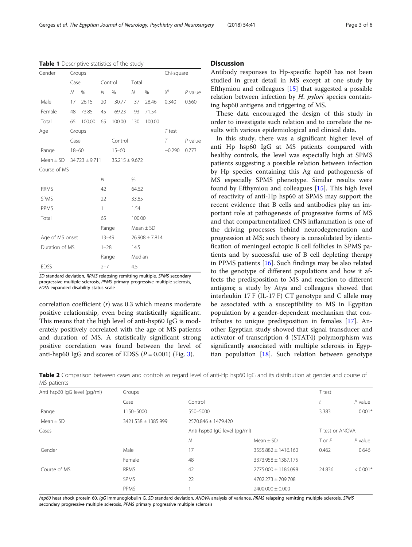SD standard deviation, RRMS relapsing remitting multiple, SPMS secondary progressive multiple sclerosis, PPMS primary progressive multiple sclerosis,

correlation coefficient (r) was 0.3 which means moderate positive relationship, even being statistically significant. This means that the high level of anti-hsp60 IgG is moderately positively correlated with the age of MS patients and duration of MS. A statistically significant strong positive correlation was found between the level of anti-hsp60 IgG and scores of EDSS  $(P = 0.001)$  (Fig. [3](#page-4-0)).

EDSS expanded disability status scale

Mean ± SD 3421.538 ± 1385.999 2570.846 ± 1479.420

#### **Discussion**

Antibody responses to Hp-specific hsp60 has not been studied in great detail in MS except at one study by Efthymiou and colleagues [\[15\]](#page-5-0) that suggested a possible relation between infection by  $H$ . *pylori* species containing hsp60 antigens and triggering of MS.

These data encouraged the design of this study in order to investigate such relation and to correlate the results with various epidemiological and clinical data.

In this study, there was a significant higher level of anti Hp hsp60 IgG at MS patients compared with healthy controls, the level was especially high at SPMS patients suggesting a possible relation between infection by Hp species containing this Ag and pathogenesis of MS especially SPMS phenotype. Similar results were found by Efthymiou and colleagues [\[15](#page-5-0)]. This high level of reactivity of anti-Hp hsp60 at SPMS may support the recent evidence that B cells and antibodies play an important role at pathogenesis of progressive forms of MS and that compartmentalized CNS inflammation is one of the driving processes behind neurodegeneration and progression at MS; such theory is consolidated by identification of meningeal ectopic B cell follicles in SPMS patients and by successful use of B cell depleting therapy in PPMS patients [\[16](#page-5-0)]. Such findings may be also related to the genotype of different populations and how it affects the predisposition to MS and reaction to different antigens; a study by Atya and colleagues showed that interleukin 17 F (IL-17 F) CT genotype and C allele may be associated with a susceptibility to MS in Egyptian population by a gender-dependent mechanism that contributes to unique predisposition in females [\[17](#page-5-0)]. Another Egyptian study showed that signal transducer and activator of transcription 4 (STAT4) polymorphism was significantly associated with multiple sclerosis in Egyptian population [[18\]](#page-5-0). Such relation between genotype

Table 2 Comparison between cases and controls as regard level of anti-Hp hsp60 IgG and its distribution at gender and course of MS patients

Range 1150–5000 550–5000 550–5000 550–5000 550–5000 550–5000 550–6001\*

Gender 17 3555.882 ± 1416.160 0.462 0.646 Female 48 3373.958 ± 1387.175

Cases **Cases** Test or Anti-hsp60 IgG level (pg/ml) Test or ANOVA

Case Control Control Control Control Case  $t$  P value

 $N$  Mean  $\pm$  SD  $T$  or  $F$  P value

Anti hsp60 IgG level (pg/ml) Groups Groups T test

| Course of MS                                                                          | <b>RRMS</b> | 42 | $2775.000 + 1186.098$                                                                                                                                   | 24.836 | $< 0.001$ <sup>*</sup> |
|---------------------------------------------------------------------------------------|-------------|----|---------------------------------------------------------------------------------------------------------------------------------------------------------|--------|------------------------|
|                                                                                       | <b>SPMS</b> |    | 4702.273 ± 709.708                                                                                                                                      |        |                        |
|                                                                                       | PPMS        |    | $2400.000 + 0.000$                                                                                                                                      |        |                        |
| secondary progressive multiple sclerosis, PPMS primary progressive multiple sclerosis |             |    | hsp60 heat shock protein 60, lqG immunoqlobulin G, SD standard deviation, ANOVA analysis of variance, RRMS relapsing remitting multiple sclerosis, SPMS |        |                        |

Gender Groups Chi-square

Table 1 Descriptive statistics of the study

<span id="page-2-0"></span>

|  | Gerges et al. The Egyptian Journal of Neurology, Psychiatry and Neurosurgery | (2018) 54:41 | Page 3 of 6 |
|--|------------------------------------------------------------------------------|--------------|-------------|
|  |                                                                              |              |             |

|                 | Case      |                                  | Control      |                    | Total              |               |          |           |
|-----------------|-----------|----------------------------------|--------------|--------------------|--------------------|---------------|----------|-----------|
|                 | Ν         | %                                | N            | %                  | N                  | %             | $\chi^2$ | $P$ value |
| Male            | 17        | 26.15                            | 20           | 30.77              | 37                 | 28.46         | 0.340    | 0.560     |
| Female          | 48        | 73.85                            | 45           | 69.23              | 93                 | 71.54         |          |           |
| Total           | 65        | 100.00                           | 65           | 100.00             | 130                | 100.00        |          |           |
| Age             |           | Groups                           |              |                    |                    |               | $T$ test |           |
|                 | Case      |                                  |              | Control            |                    |               | $\tau$   | P value   |
| Range           | $18 - 60$ |                                  |              | $15 - 60$          |                    |               | $-0.290$ | 0.773     |
|                 |           | Mean $\pm$ SD 34.723 $\pm$ 9.711 |              | $35.215 \pm 9.672$ |                    |               |          |           |
| Course of MS    |           |                                  |              |                    |                    |               |          |           |
|                 |           |                                  | N            |                    | $\frac{0}{0}$      |               |          |           |
| <b>RRMS</b>     |           |                                  | 42           |                    | 64.62              |               |          |           |
| <b>SPMS</b>     |           |                                  | 22           |                    | 33.85              |               |          |           |
| PPMS            |           |                                  | $\mathbf{1}$ |                    | 1.54               |               |          |           |
| Total           |           |                                  | 65           |                    | 100.00             |               |          |           |
|                 |           |                                  | Range        |                    |                    | $Mean \pm SD$ |          |           |
| Age of MS onset |           | $13 - 49$                        |              |                    | $26.908 \pm 7.814$ |               |          |           |
| Duration of MS  |           |                                  | $1 - 28$     |                    | 14.5               |               |          |           |
|                 |           |                                  | Range        |                    | Median             |               |          |           |
| <b>EDSS</b>     |           |                                  | $2 - 7$      |                    | 4.5                |               |          |           |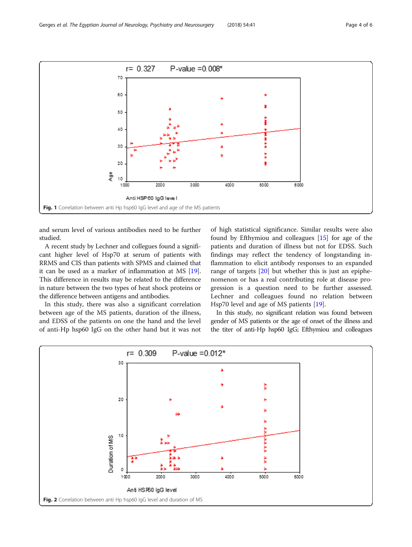and serum level of various antibodies need to be further studied.

A recent study by Lechner and collegues found a significant higher level of Hsp70 at serum of patients with RRMS and CIS than patients with SPMS and claimed that it can be used as a marker of inflammation at MS [[19](#page-5-0)]. This difference in results may be related to the difference in nature between the two types of heat shock proteins or the difference between antigens and antibodies.

In this study, there was also a significant correlation between age of the MS patients, duration of the illness, and EDSS of the patients on one the hand and the level of anti-Hp hsp60 IgG on the other hand but it was not

of high statistical significance. Similar results were also found by Efthymiou and colleagues [\[15\]](#page-5-0) for age of the patients and duration of illness but not for EDSS. Such findings may reflect the tendency of longstanding inflammation to elicit antibody responses to an expanded range of targets [[20\]](#page-5-0) but whether this is just an epiphenomenon or has a real contributing role at disease progression is a question need to be further assessed. Lechner and colleagues found no relation between Hsp70 level and age of MS patients [\[19](#page-5-0)].

In this study, no significant relation was found between gender of MS patients or the age of onset of the illness and the titer of anti-Hp hsp60 IgG; Efthymiou and colleagues



<span id="page-3-0"></span>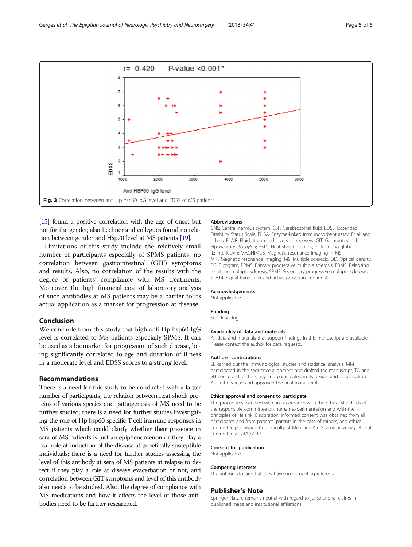[[15\]](#page-5-0) found a positive correlation with the age of onset but not for the gender, also Lechner and collegues found no relation between gender and Hsp70 level at MS patients [\[19](#page-5-0)].

Limitations of this study include the relatively small number of participants especially of SPMS patients, no correlation between gastrointestinal (GIT) symptoms and results. Also, no correlation of the results with the degree of patients' compliance with MS treatments. Moreover, the high financial cost of laboratory analysis of such antibodies at MS patients may be a barrier to its actual application as a marker for progression at disease.

#### Conclusion

We conclude from this study that high anti Hp hsp60 IgG level is correlated to MS patients especially SPMS. It can be used as a biomarker for progression of such disease, being significantly correlated to age and duration of illness in a moderate level and EDSS scores to a strong level.

#### Recommendations

There is a need for this study to be conducted with a larger number of participants, the relation between heat shock proteins of various species and pathogenesis of MS need to be further studied; there is a need for further studies investigating the role of Hp hsp60 specific T cell immune responses in MS patients which could clarify whether their presence in sera of MS patients is just an epiphenomenon or they play a real role at induction of the disease at genetically susceptible individuals; there is a need for further studies assessing the level of this antibody at sera of MS patients at relapse to detect if they play a role at disease exacerbation or not, and correlation between GIT symptoms and level of this antibody also needs to be studied. Also, the degree of compliance with MS medications and how it affects the level of those antibodies need to be further researched.

#### Abbreviations

CNS: Central nervous system; CSF: Cerebrospinal fluid; EDSS: Expanded Disability Status Scale; ELISA: Enzyme-linked immunosorbent assay; Et al: and others; FLAIR: Fluid attenuated inversion recovery; GIT: Gastrointestinal; Hp: Helicobacter pylori; HSPs: Heat shock proteins; Ig: Immuno globulin; IL: Interleukin; MAGNIMUS: Magnetic resonance imaging in MS; MRI: Magnetic resonance imaging; MS: Multiple sclerosis; OD: Optical density; PG: Picogram; PPMS: Primary progressive multiple sclerosis; RRMS: Relapsing remitting multiple sclerosis; SPMS: Secondary progressive multiple sclerosis; STAT4: Signal transducer and activator of transcription 4

#### Acknowledgements

Not applicable.

#### Funding

Self-financing.

#### Availability of data and materials

All data and materials that support findings in this manuscript are available. Please contact the author for data requests.

#### Authors' contributions

SE carried out the immunological studies and statistical analysis, MM participated in the sequence alignment and drafted the manuscript, TA and SH conceived of the study and participated in its design and coordination. All authors read and approved the final manuscript.

#### Ethics approval and consent to participate

The procedures followed were in accordance with the ethical standards of the responsible committee on human experimentation and with the principles of Helsinki Declaration. Informed consent was obtained from all participants and from patients' parents in the case of minors, and ethical committee permission from Faculty of Medicine Ain Shams university ethical committee at 24/9/2017.

#### Consent for publication

Not applicable.

#### Competing interests

The authors declare that they have no competing interests.

#### Publisher's Note

Springer Nature remains neutral with regard to jurisdictional claims in published maps and institutional affiliations.

<span id="page-4-0"></span>